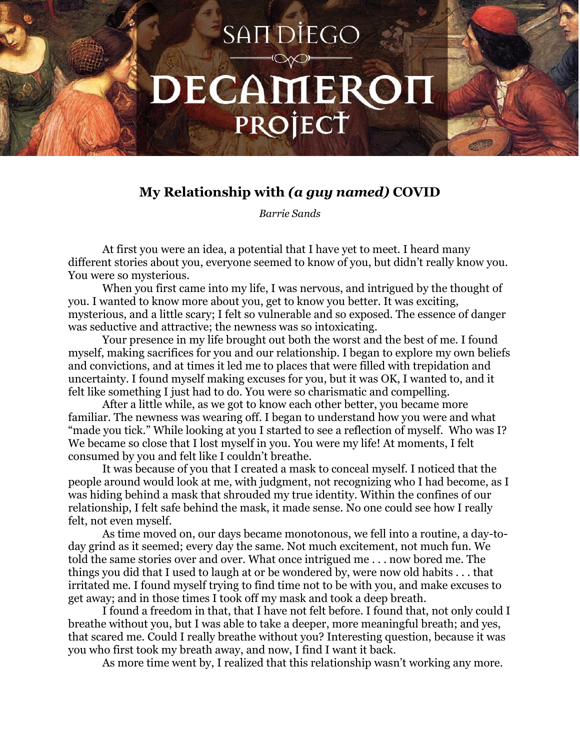## SAN DIEGO DECAMEROH PROJECT

## **My Relationship with** *(a guy named)* **COVID**

*Barrie Sands*

At first you were an idea, a potential that I have yet to meet. I heard many different stories about you, everyone seemed to know of you, but didn't really know you. You were so mysterious.

When you first came into my life, I was nervous, and intrigued by the thought of you. I wanted to know more about you, get to know you better. It was exciting, mysterious, and a little scary; I felt so vulnerable and so exposed. The essence of danger was seductive and attractive; the newness was so intoxicating.

Your presence in my life brought out both the worst and the best of me. I found myself, making sacrifices for you and our relationship. I began to explore my own beliefs and convictions, and at times it led me to places that were filled with trepidation and uncertainty. I found myself making excuses for you, but it was OK, I wanted to, and it felt like something I just had to do. You were so charismatic and compelling.

After a little while, as we got to know each other better, you became more familiar. The newness was wearing off. I began to understand how you were and what "made you tick." While looking at you I started to see a reflection of myself. Who was I? We became so close that I lost myself in you. You were my life! At moments, I felt consumed by you and felt like I couldn't breathe.

It was because of you that I created a mask to conceal myself. I noticed that the people around would look at me, with judgment, not recognizing who I had become, as I was hiding behind a mask that shrouded my true identity. Within the confines of our relationship, I felt safe behind the mask, it made sense. No one could see how I really felt, not even myself.

As time moved on, our days became monotonous, we fell into a routine, a day-today grind as it seemed; every day the same. Not much excitement, not much fun. We told the same stories over and over. What once intrigued me . . . now bored me. The things you did that I used to laugh at or be wondered by, were now old habits . . . that irritated me. I found myself trying to find time not to be with you, and make excuses to get away; and in those times I took off my mask and took a deep breath.

I found a freedom in that, that I have not felt before. I found that, not only could I breathe without you, but I was able to take a deeper, more meaningful breath; and yes, that scared me. Could I really breathe without you? Interesting question, because it was you who first took my breath away, and now, I find I want it back.

As more time went by, I realized that this relationship wasn't working any more.